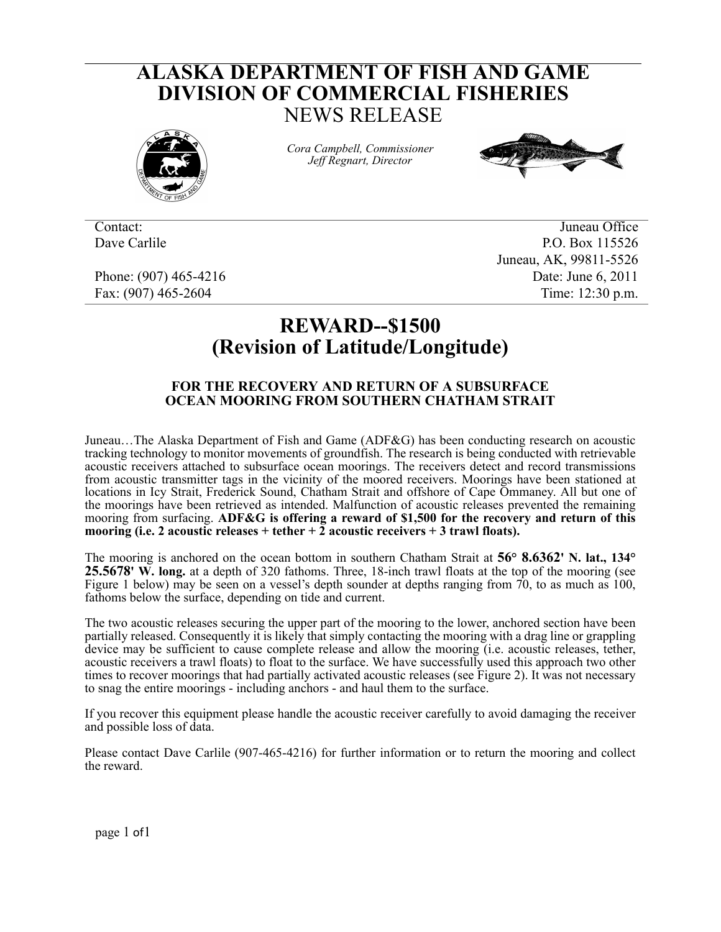## **ALASKA DEPARTMENT OF FISH AND GAME DIVISION OF COMMERCIAL FISHERIES** NEWS RELEASE



*Cora Campbell, Commissioner Jeff Regnart, Director*



**Contact:** Juneau Office Dave Carlile **P.O. Box 115526** Juneau, AK, 99811-5526 Phone: (907) 465-4216 Date: June 6, 2011

## Fax: (907) 465-2604 Time: 12:30 p.m.

## **REWARD--\$1500 (Revision of Latitude/Longitude)**

## **FOR THE RECOVERY AND RETURN OF A SUBSURFACE OCEAN MOORING FROM SOUTHERN CHATHAM STRAIT**

Juneau…The Alaska Department of Fish and Game (ADF&G) has been conducting research on acoustic tracking technology to monitor movements of groundfish. The research is being conducted with retrievable acoustic receivers attached to subsurface ocean moorings. The receivers detect and record transmissions from acoustic transmitter tags in the vicinity of the moored receivers. Moorings have been stationed at locations in Icy Strait, Frederick Sound, Chatham Strait and offshore of Cape Ommaney. All but one of the moorings have been retrieved as intended. Malfunction of acoustic releases prevented the remaining mooring from surfacing. **ADF&G is offering a reward of \$1,500 for the recovery and return of this** mooring (i.e. 2 acoustic releases + tether  $+\overline{2}$  acoustic receivers  $+3$  trawl floats).

The mooring is anchored on the ocean bottom in southern Chatham Strait at **56° 8.6362' N. lat., 134° 25.5678' W. long.** at a depth of 320 fathoms. Three, 18-inch trawl floats at the top of the mooring (see Figure 1 below) may be seen on a vessel's depth sounder at depths ranging from 70, to as much as 100, fathoms below the surface, depending on tide and current.

The two acoustic releases securing the upper part of the mooring to the lower, anchored section have been partially released. Consequently it is likely that simply contacting the mooring with a drag line or grappling device may be sufficient to cause complete release and allow the mooring (i.e. acoustic releases, tether, acoustic receivers a trawl floats) to float to the surface. We have successfully used this approach two other times to recover moorings that had partially activated acoustic releases (see Figure 2). It was not necessary to snag the entire moorings - including anchors - and haul them to the surface.

If you recover this equipment please handle the acoustic receiver carefully to avoid damaging the receiver and possible loss of data.

Please contact Dave Carlile (907-465-4216) for further information or to return the mooring and collect the reward.

page 1 of1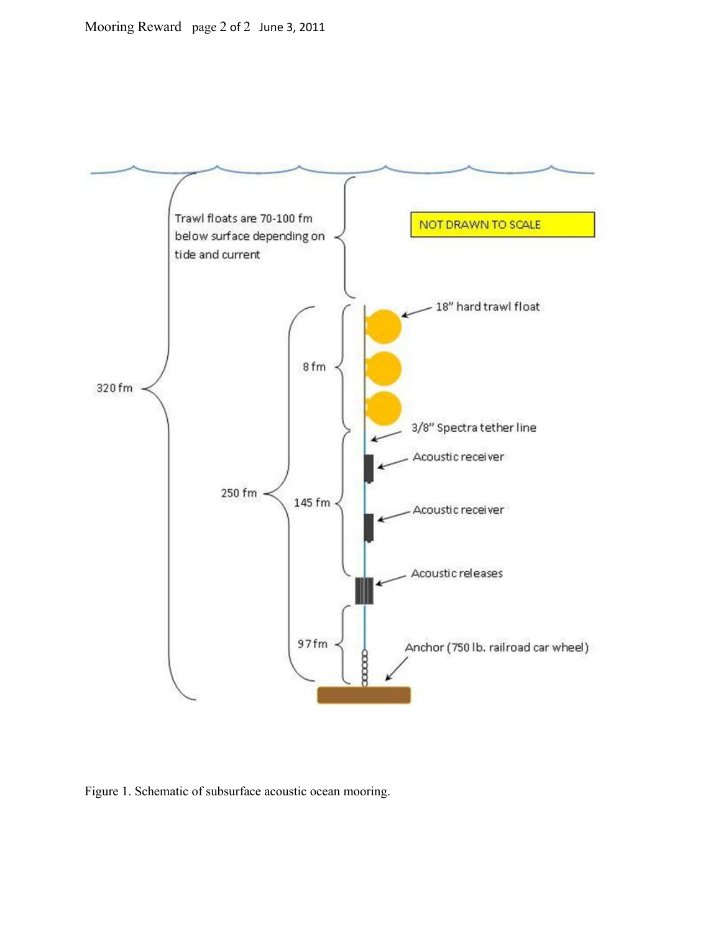

Figure 1. Schematic of subsurface acoustic ocean mooring.